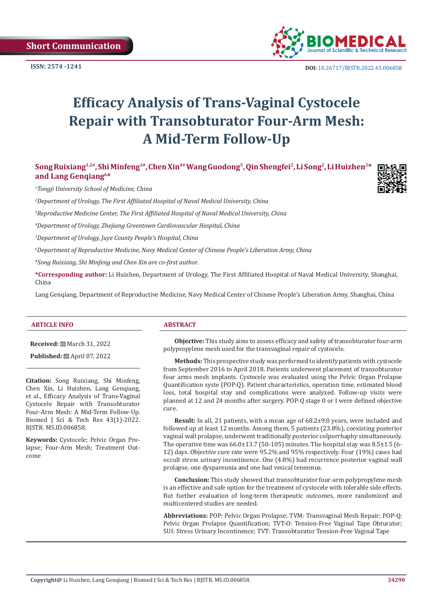

**ISSN:** 2574 -1241 **DOI:** [10.26717/BJSTR.2022.43.006858](https://dx.doi.org/10.26717/BJSTR.2022.43.006858)

# **Efficacy Analysis of Trans-Vaginal Cystocele Repair with Transobturator Four-Arm Mesh: A Mid-Term Follow-Up**

**Song Ruixiang1,2#, Shi Minfeng3#, Chen Xin4# Wang Guodong<sup>5</sup>, Qin Shengfei<sup>2</sup>, Li Song<sup>2</sup>, Li Huizhen2\* and Lang Genqiang6\***

*1 Tongji University School of Medicine, China*

*2 Department of Urology, The First Affiliated Hospital of Naval Medical University, China*

*3 Reproductive Medicine Center, The First Affiliated Hospital of Naval Medical University, China*

*4 Department of Urology, Zhejiang Greentown Cardiovascular Hospital, China*

*5 Department of Urology, Juye County People's Hospital, China*

*6 Department of Reproductive Medicine, Navy Medical Center of Chinese People's Liberation Army, China*

*#Song Ruixiang, Shi Minfeng and Chen Xin are co-first author.*

**\*Corresponding author:** Li Huizhen, Department of Urology, The First Affiliated Hospital of Naval Medical University, Shanghai, China

Lang Genqiang, Department of Reproductive Medicine, Navy Medical Center of Chinese People's Liberation Army, Shanghai, China

### **ARTICLE INFO ABSTRACT**

**Received:** March 31, 2022

**Published:** 圖 April 07, 2022

**Citation:** Song Ruixiang, Shi Minfeng, Chen Xin, Li Huizhen, Lang Genqiang, et al., Efficacy Analysis of Trans-Vaginal Cystocele Repair with Transobturator Four-Arm Mesh: A Mid-Term Follow-Up. Biomed J Sci & Tech Res 43(1)-2022. BJSTR. MS.ID.006858.

**Keywords:** Cystocele; Pelvic Organ Prolapse; Four-Arm Mesh; Treatment Outcome

**Objective:** This study aims to assess efficacy and safety of transobturator four-arm polypropylene mesh used for the transvaginal repair of cystocele.

**Methods:** This prospective study was performed to identify patients with cystocele from September 2016 to April 2018. Patients underwent placement of transobturator four arms mesh implants. Cystocele was evaluated using the Pelvic Organ Prolapse Quantification syste (POP-Q). Patient characteristics, operation time, estimated blood loss, total hospital stay and complications were analyzed. Follow-up visits were planned at 12 and 24 months after surgery. POP-Q stage 0 or I were defined objective cure.

**Result:** In all, 21 patients, with a mean age of 68.2±9.0 years, were included and followed up at least 12 months. Among them, 5 patients (23.8%), coexisting posterior vaginal wall prolapse, underwent traditionally posterior colporrhaphy simultaneously. The operative time was  $66.0\pm13.7$  (50-105) minutes. The hospital stay was  $8.5\pm1.5$  (6-12) days. Objective cure rate were 95.2% and 95% respectively. Four (19%) cases had occult stress urinary incontinence. One (4.8%) had recurrence posterior vaginal wall prolapse, one dyspareunia and one had vesical tenesmus.

**Conclusion:** This study showed that transobturator four-arm polypropylene mesh is an effective and safe option for the treatment of cystocele with tolerable side effects. But further evaluation of long-term therapeutic outcomes, more randomized and multicentered studies are needed.

**Abbreviations:** POP: Pelvic Organ Prolapse; TVM: Transvaginal Mesh Repair; POP-Q: Pelvic Organ Prolapse Quantification; TVT-O: Tension-Free Vaginal Tape Obturator; SUI: Stress Urinary Incontinence; TVT: Transobturator Tension-Free Vaginal Tape

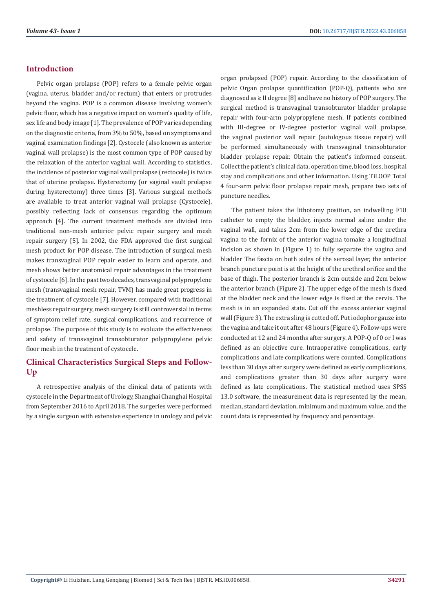# **Introduction**

Pelvic organ prolapse (POP) refers to a female pelvic organ (vagina, uterus, bladder and/or rectum) that enters or protrudes beyond the vagina. POP is a common disease involving women's pelvic floor, which has a negative impact on women's quality of life, sex life and body image [1]. The prevalence of POP varies depending on the diagnostic criteria, from 3% to 50%, based on symptoms and vaginal examination findings [2]. Cystocele (also known as anterior vaginal wall prolapse) is the most common type of POP caused by the relaxation of the anterior vaginal wall. According to statistics, the incidence of posterior vaginal wall prolapse (rectocele) is twice that of uterine prolapse. Hysterectomy (or vaginal vault prolapse during hysterectomy) three times [3]. Various surgical methods are available to treat anterior vaginal wall prolapse (Cystocele), possibly reflecting lack of consensus regarding the optimum approach [4]. The current treatment methods are divided into traditional non-mesh anterior pelvic repair surgery and mesh repair surgery [5]. In 2002, the FDA approved the first surgical mesh product for POP disease. The introduction of surgical mesh makes transvaginal POP repair easier to learn and operate, and mesh shows better anatomical repair advantages in the treatment of cystocele [6]. In the past two decades, transvaginal polypropylene mesh (transvaginal mesh repair, TVM) has made great progress in the treatment of cystocele [7]. However, compared with traditional meshless repair surgery, mesh surgery is still controversial in terms of symptom relief rate, surgical complications, and recurrence of prolapse. The purpose of this study is to evaluate the effectiveness and safety of transvaginal transobturator polypropylene pelvic floor mesh in the treatment of cystocele.

# **Clinical Characteristics Surgical Steps and Follow-Up**

A retrospective analysis of the clinical data of patients with cystocele in the Department of Urology, Shanghai Changhai Hospital from September 2016 to April 2018. The surgeries were performed by a single surgeon with extensive experience in urology and pelvic organ prolapsed (POP) repair. According to the classification of pelvic Organ prolapse quantification (POP-Q), patients who are diagnosed as ≥ II degree [8] and have no history of POP surgery. The surgical method is transvaginal transobturator bladder prolapse repair with four-arm polypropylene mesh. If patients combined with III-degree or IV-degree posterior vaginal wall prolapse, the vaginal posterior wall repair (autologous tissue repair) will be performed simultaneously with transvaginal transobturator bladder prolapse repair. Obtain the patient's informed consent. Collect the patient's clinical data, operation time, blood loss, hospital stay and complications and other information. Using TiLOOP Total 4 four-arm pelvic floor prolapse repair mesh, prepare two sets of puncture needles.

The patient takes the lithotomy position, an indwelling F18 catheter to empty the bladder, injects normal saline under the vaginal wall, and takes 2cm from the lower edge of the urethra vagina to the fornix of the anterior vagina tomake a longitudinal incision as shown in (Figure 1) to fully separate the vagina and bladder The fascia on both sides of the serosal layer, the anterior branch puncture point is at the height of the urethral orifice and the base of thigh. The posterior branch is 2cm outside and 2cm below the anterior branch (Figure 2). The upper edge of the mesh is fixed at the bladder neck and the lower edge is fixed at the cervix. The mesh is in an expanded state. Cut off the excess anterior vaginal wall (Figure 3). The extra sling is cutted off. Put iodophor gauze into the vagina and take it out after 48 hours (Figure 4). Follow-ups were conducted at 12 and 24 months after surgery. A POP-Q of 0 or I was defined as an objective cure. Intraoperative complications, early complications and late complications were counted. Complications less than 30 days after surgery were defined as early complications, and complications greater than 30 days after surgery were defined as late complications. The statistical method uses SPSS 13.0 software, the measurement data is represented by the mean, median, standard deviation, minimum and maximum value, and the count data is represented by frequency and percentage.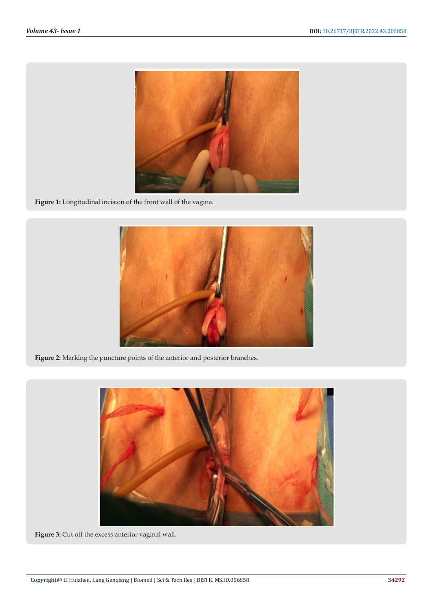

**Figure 1:** Longitudinal incision of the front wall of the vagina.



**Figure 2:** Marking the puncture points of the anterior and posterior branches.



**Figure 3:** Cut off the excess anterior vaginal wall.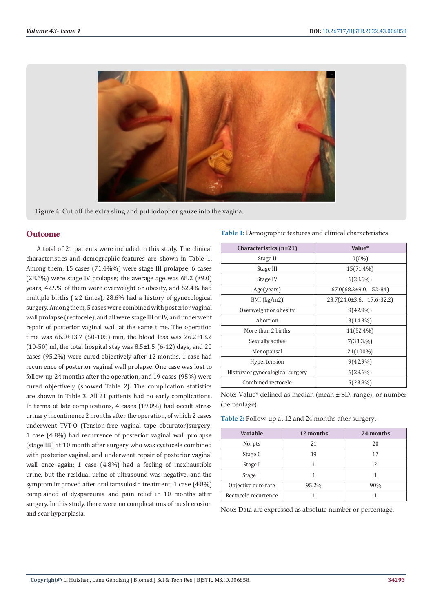

**Figure 4:** Cut off the extra sling and put iodophor gauze into the vagina.

### **Outcome**

A total of 21 patients were included in this study. The clinical characteristics and demographic features are shown in Table 1. Among them, 15 cases (71.4%%) were stage III prolapse, 6 cases (28.6%) were stage IV prolapse; the average age was  $68.2$  ( $\pm$ 9.0) years, 42.9% of them were overweight or obesity, and 52.4% had multiple births ( ≥2 times), 28.6% had a history of gynecological surgery. Among them, 5 cases were combined with posterior vaginal wall prolapse (rectocele), and all were stage III or IV, and underwent repair of posterior vaginal wall at the same time. The operation time was 66.0±13.7 (50-105) min, the blood loss was 26.2±13.2  $(10-50)$  ml, the total hospital stay was  $8.5\pm1.5$   $(6-12)$  days, and 20 cases (95.2%) were cured objectively after 12 months. 1 case had recurrence of posterior vaginal wall prolapse. One case was lost to follow-up 24 months after the operation, and 19 cases (95%) were cured objectively (showed Table 2). The complication statistics are shown in Table 3. All 21 patients had no early complications. In terms of late complications, 4 cases (19.0%) had occult stress urinary incontinence 2 months after the operation, of which 2 cases underwent TVT-O (Tension-free vaginal tape obturator)surgery; 1 case (4.8%) had recurrence of posterior vaginal wall prolapse (stage III) at 10 month after surgery who was cystocele combined with posterior vaginal, and underwent repair of posterior vaginal wall once again; 1 case (4.8%) had a feeling of inexhaustible urine, but the residual urine of ultrasound was negative, and the symptom improved after oral tamsulosin treatment; 1 case (4.8%) complained of dyspareunia and pain relief in 10 months after surgery. In this study, there were no complications of mesh erosion and scar hyperplasia.

#### **Table 1:** Demographic features and clinical characteristics.

| Characteristics (n=21)           | Value*                                |  |
|----------------------------------|---------------------------------------|--|
| Stage II                         | $0(0\%)$                              |  |
| Stage III                        | 15(71.4%)                             |  |
| Stage IV                         | $6(28.6\%)$                           |  |
| Age(years)                       | $67.0(68.2 \pm 9.0, 52-84)$           |  |
| $BMI$ (kg/m2)                    | $23.7(24.0 \pm 3.6, 17.6 \cdot 32.2)$ |  |
| Overweight or obesity            | $9(42.9\%)$                           |  |
| Abortion                         | $3(14.3\%)$                           |  |
| More than 2 births               | 11(52.4%)                             |  |
| Sexually active                  | 7(33.3.%)                             |  |
| Menopausal                       | 21(100%)                              |  |
| Hypertension                     | $9(42.9\%)$                           |  |
| History of gynecological surgery | $6(28.6\%)$                           |  |
| Combined rectocele               | $5(23.8\%)$                           |  |

Note: Value\* defined as median (mean ± SD, range), or number (percentage)

| Table 2: Follow-up at 12 and 24 months after surgery. |  |  |
|-------------------------------------------------------|--|--|
|-------------------------------------------------------|--|--|

| Variable             | 12 months | 24 months |
|----------------------|-----------|-----------|
| No. pts              | 21        | 20        |
| Stage 0              | 19        | 17        |
| Stage I              |           | 2         |
| Stage II             |           |           |
| Objective cure rate  | 95.2%     | 90%       |
| Rectocele recurrence |           |           |

Note: Data are expressed as absolute number or percentage.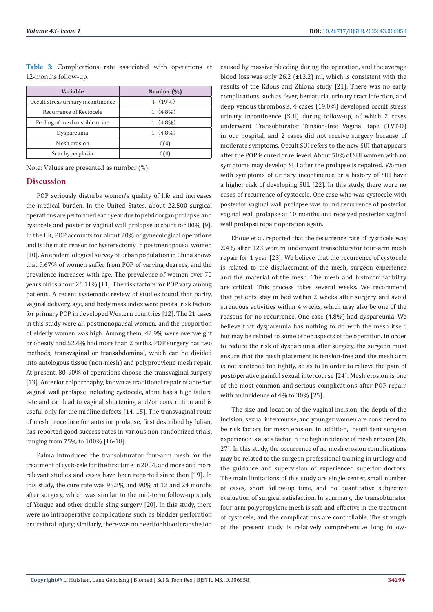| Variable                           | Number $(\%)$ |
|------------------------------------|---------------|
| Occult stress urinary incontinence | $4(19\%)$     |
| Recurrence of Rectocele            | $1(4.8\%)$    |
| Feeling of inexhaustible urine     | $1(4.8\%)$    |
| Dyspareunia                        | $1(4.8\%)$    |
| Mesh erosion                       | 0(0)          |
| Scar hyperplasia                   | 0(0)          |

**Table 3:** Complications rate associated with operations at 12-months follow-up.

Note: Values are presented as number (%).

#### **Discussion**

POP seriously disturbs women's quality of life and increases the medical burden. In the United States, about 22,500 surgical operations are performed each year due to pelvic organ prolapse, and cystocele and posterior vaginal wall prolapse account for 80% [9]. In the UK, POP accounts for about 20% of gynecological operations and is the main reason for hysterectomy in postmenopausal women [10]. An epidemiological survey of urban population in China shows that 9.67% of women suffer from POP of varying degrees, and the prevalence increases with age. The prevalence of women over 70 years old is about 26.11% [11]. The risk factors for POP vary among patients. A recent systematic review of studies found that parity, vaginal delivery, age, and body mass index were pivotal risk factors for primary POP in developed Western countries [12]. The 21 cases in this study were all postmenopausal women, and the proportion of elderly women was high. Among them, 42.9% were overweight or obesity and 52.4% had more than 2 births. POP surgery has two methods, transvaginal or transabdominal, which can be divided into autologous tissue (non-mesh) and polypropylene mesh repair. At present, 80-90% of operations choose the transvaginal surgery [13]. Anterior colporrhaphy, known as traditional repair of anterior vaginal wall prolapse including cystocele, alone has a high failure rate and can lead to vaginal shortening and/or constriction and is useful only for the midline defects [14, 15]. The transvaginal route of mesh procedure for anterior prolapse, first described by Julian, has reported good success rates in various non-randomized trials, ranging from 75% to 100% [16-18].

Palma introduced the transobturator four-arm mesh for the treatment of cystocele for the first time in 2004, and more and more relevant studies and cases have been reported since then [19]. In this study, the cure rate was 95.2% and 90% at 12 and 24 months after surgery, which was similar to the mid-term follow-up study of Yonguc and other double sling surgery [20]. In this study, there were no intraoperative complications such as bladder perforation or urethral injury; similarly, there was no need for blood transfusion caused by massive bleeding during the operation, and the average blood loss was only 26.2 (±13.2) ml, which is consistent with the results of the Kdous and Zhioua study [21]. There was no early complications such as fever, hematuria, urinary tract infection, and deep venous thrombosis. 4 cases (19.0%) developed occult stress urinary incontinence (SUI) during follow-up, of which 2 cases underwent Transobturator Tension-free Vaginal tape (TVT-O) in our hospital, and 2 cases did not receive surgery because of moderate symptoms. Occult SUI refers to the new SUI that appears after the POP is cured or relieved. About 50% of SUI women with no symptoms may develop SUI after the prolapse is repaired. Women with symptoms of urinary incontinence or a history of SUI have a higher risk of developing SUI. [22]. In this study, there were no cases of recurrence of cystocele. One case who was cystocele with posterior vaginal wall prolapse was found recurrence of posterior vaginal wall prolapse at 10 months and received posterior vaginal wall prolapse repair operation again.

Eboue et al. reported that the recurrence rate of cystocele was 2.4% after 123 women underwent transobturator four-arm mesh repair for 1 year [23]. We believe that the recurrence of cystocele is related to the displacement of the mesh, surgeon experience and the material of the mesh. The mesh and histocompatibility are critical. This process takes several weeks. We recommend that patients stay in bed within 2 weeks after surgery and avoid strenuous activities within 4 weeks, which may also be one of the reasons for no recurrence. One case (4.8%) had dyspareunia. We believe that dyspareunia has nothing to do with the mesh itself, but may be related to some other aspects of the operation. In order to reduce the risk of dyspareunia after surgery, the surgeon must ensure that the mesh placement is tension-free and the mesh arm is not stretched too tightly, so as to In order to relieve the pain of postoperative painful sexual intercourse [24]. Mesh erosion is one of the most common and serious complications after POP repair, with an incidence of 4% to 30% [25].

The size and location of the vaginal incision, the depth of the incision, sexual intercourse, and younger women are considered to be risk factors for mesh erosion. In addition, insufficient surgeon experience is also a factor in the high incidence of mesh erosion [26, 27]. In this study, the occurrence of no mesh erosion complications may be related to the surgeon professional training in urology and the guidance and supervision of experienced superior doctors. The main limitations of this study are single center, small number of cases, short follow-up time, and no quantitative subjective evaluation of surgical satisfaction. In summary, the transobturator four-arm polypropylene mesh is safe and effective in the treatment of cystocele, and the complications are controllable. The strength of the present study is relatively comprehensive long follow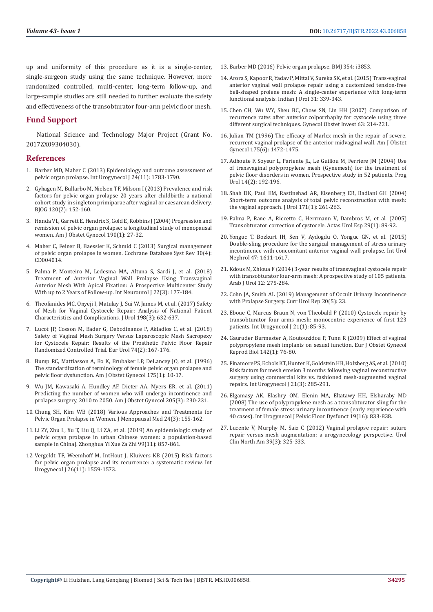up and uniformity of this procedure as it is a single-center, single-surgeon study using the same technique. However, more randomized controlled, multi-center, long-term follow-up, and large-sample studies are still needed to further evaluate the safety and effectiveness of the transobturator four-arm pelvic floor mesh.

# **Fund Support**

National Science and Technology Major Project (Grant No. 2017ZX09304030).

### **References**

- 1. [Barber MD, Maher C \(2013\) Epidemiology and outcome assessment of](https://pubmed.ncbi.nlm.nih.gov/24142054/)  [pelvic organ prolapse. Int Urogynecol J 24\(11\): 1783-1790.](https://pubmed.ncbi.nlm.nih.gov/24142054/)
- 2. [Gyhagen M, Bullarbo M, Nielsen TF, Milsom I \(2013\) Prevalence and risk](https://pubmed.ncbi.nlm.nih.gov/23121158/)  [factors for pelvic organ prolapse 20 years after childbirth: a national](https://pubmed.ncbi.nlm.nih.gov/23121158/)  [cohort study in singleton primiparae after vaginal or caesarean delivery.](https://pubmed.ncbi.nlm.nih.gov/23121158/)  [BJOG 120\(2\): 152-160.](https://pubmed.ncbi.nlm.nih.gov/23121158/)
- 3. [Handa VL, Garrett E, Hendrix S, Gold E, Robbins J \(2004\) Progression and](https://pubmed.ncbi.nlm.nih.gov/14749630/)  [remission of pelvic organ prolapse: a longitudinal study of menopausal](https://pubmed.ncbi.nlm.nih.gov/14749630/)  [women. Am J Obstet Gynecol 190\(1\): 27-32.](https://pubmed.ncbi.nlm.nih.gov/14749630/)
- 4. [Maher C, Feiner B, Baessler K, Schmid C \(2013\) Surgical management](https://pubmed.ncbi.nlm.nih.gov/23633316/)  [of pelvic organ prolapse in women. Cochrane Database Syst Rev 30\(4\):](https://pubmed.ncbi.nlm.nih.gov/23633316/)  [CD004014.](https://pubmed.ncbi.nlm.nih.gov/23633316/)
- 5. [Palma P, Monteiro M, Ledesma MA, Altuna S, Sardi J, et al. \(2018\)](https://pubmed.ncbi.nlm.nih.gov/30286580/)  [Treatment of Anterior Vaginal Wall Prolapse Using Transvaginal](https://pubmed.ncbi.nlm.nih.gov/30286580/)  [Anterior Mesh With Apical Fixation: A Prospective Multicenter Study](https://pubmed.ncbi.nlm.nih.gov/30286580/)  [With up to 2 Years of Follow-up. Int Neurourol J 22\(3\): 177-184.](https://pubmed.ncbi.nlm.nih.gov/30286580/)
- 6. [Theofanides MC, Onyeji I, Matulay J, Sui W, James M, et al. \(2017\) Safety](https://pubmed.ncbi.nlm.nih.gov/28396182/)  [of Mesh for Vaginal Cystocele Repair: Analysis of National Patient](https://pubmed.ncbi.nlm.nih.gov/28396182/)  [Characteristics and Complications. J Urol 198\(3\): 632-637.](https://pubmed.ncbi.nlm.nih.gov/28396182/)
- 7. [Lucot JP, Cosson M, Bader G, Debodinance P, Akladios C, et al. \(2018\)](https://pubmed.ncbi.nlm.nih.gov/29472143/)  [Safety of Vaginal Mesh Surgery Versus Laparoscopic Mesh Sacropexy](https://pubmed.ncbi.nlm.nih.gov/29472143/)  [for Cystocele Repair: Results of the Prosthetic Pelvic Floor Repair](https://pubmed.ncbi.nlm.nih.gov/29472143/)  [Randomized Controlled Trial. Eur Urol 74\(2\): 167-176.](https://pubmed.ncbi.nlm.nih.gov/29472143/)
- 8. [Bump RC, Mattiasson A, Bo K, Brubaker LP, DeLancey JO, et al. \(1996\)](https://pubmed.ncbi.nlm.nih.gov/8694033/)  [The standardization of terminology of female pelvic organ prolapse and](https://pubmed.ncbi.nlm.nih.gov/8694033/)  [pelvic floor dysfunction. Am J Obstet Gynecol 175\(1\): 10-17.](https://pubmed.ncbi.nlm.nih.gov/8694033/)
- 9. [Wu JM, Kawasaki A, Hundley AF, Dieter AA, Myers ER, et al. \(2011\)](https://pubmed.ncbi.nlm.nih.gov/21600549/)  [Predicting the number of women who will undergo incontinence and](https://pubmed.ncbi.nlm.nih.gov/21600549/)  [prolapse surgery, 2010 to 2050. Am J Obstet Gynecol 205\(3\): 230-231.](https://pubmed.ncbi.nlm.nih.gov/21600549/)
- 10. [Chung SH, Kim WB \(2018\) Various Approaches and Treatments for](https://pubmed.ncbi.nlm.nih.gov/30671407/)  [Pelvic Organ Prolapse in Women. J Menopausal Med 24\(3\): 155-162.](https://pubmed.ncbi.nlm.nih.gov/30671407/)
- 11. [Li ZY, Zhu L, Xu T, Liu Q, Li ZA, et al. \(2019\) An epidemiologic study of](https://pubmed.ncbi.nlm.nih.gov/30893731/)  [pelvic organ prolapse in urban Chinese women: a population-based](https://pubmed.ncbi.nlm.nih.gov/30893731/)  [sample in China\]. Zhonghua Yi Xue Za Zhi 99\(11\): 857-861.](https://pubmed.ncbi.nlm.nih.gov/30893731/)
- 12. [Vergeldt TF, Weemhoff M, IntHout J, Kluivers KB \(2015\) Risk factors](https://pubmed.ncbi.nlm.nih.gov/25966804/)  [for pelvic organ prolapse and its recurrence: a systematic review. Int](https://pubmed.ncbi.nlm.nih.gov/25966804/)  [Urogynecol J 26\(11\): 1559-1573.](https://pubmed.ncbi.nlm.nih.gov/25966804/)
- 13. [Barber MD \(2016\) Pelvic organ prolapse. BMJ 354: i3853.](https://pubmed.ncbi.nlm.nih.gov/27439423/)
- 14. [Arora S, Kapoor R, Yadav P, Mittal V, Sureka SK, et al. \(2015\) Trans-vaginal](https://www.indianjurol.com/article.asp?issn=0970-1591;year=2015;volume=31;issue=4;spage=339;epage=343;aulast=Arora) [anterior vaginal wall prolapse repair using a customized tension-free](https://www.indianjurol.com/article.asp?issn=0970-1591;year=2015;volume=31;issue=4;spage=339;epage=343;aulast=Arora) [bell-shaped prolene mesh: A single-center experience with long-term](https://www.indianjurol.com/article.asp?issn=0970-1591;year=2015;volume=31;issue=4;spage=339;epage=343;aulast=Arora) [functional analysis. Indian J Urol 31: 339-343.](https://www.indianjurol.com/article.asp?issn=0970-1591;year=2015;volume=31;issue=4;spage=339;epage=343;aulast=Arora)
- 15. [Chen CH, Wu WY, Sheu BC, Chow SN, Lin HH \(2007\) Comparison of](https://www.karger.com/Article/Abstract/98116) [recurrence rates after anterior colporrhaphy for cystocele using three](https://www.karger.com/Article/Abstract/98116) [different surgical techniques. Gynecol Obstet Invest 63: 214-221.](https://www.karger.com/Article/Abstract/98116)
- 16. [Julian TM \(1996\) The efficacy of Marlex mesh in the repair of severe,](https://www.sciencedirect.com/science/article/abs/pii/S0002937896700923) [recurrent vaginal prolapse of the anterior midvaginal wall. Am J Obstet](https://www.sciencedirect.com/science/article/abs/pii/S0002937896700923) [Gynecol 175\(6\): 1472-1475.](https://www.sciencedirect.com/science/article/abs/pii/S0002937896700923)
- 17. [Adhoute F, Soyeur L, Pariente JL, Le Guillou M, Ferriere JM \(2004\) Use](https://pubmed.ncbi.nlm.nih.gov/15217134/) [of transvaginal polypropylene mesh \(Gynemesh\) for the treatment of](https://pubmed.ncbi.nlm.nih.gov/15217134/) [pelvic floor disorders in women. Prospective study in 52 patients. Prog](https://pubmed.ncbi.nlm.nih.gov/15217134/) [Urol 14\(2\): 192-196.](https://pubmed.ncbi.nlm.nih.gov/15217134/)
- 18. [Shah DK, Paul EM, Rastinehad AR, Eisenberg ER, Badlani GH \(2004\)](https://pubmed.ncbi.nlm.nih.gov/14665889/) [Short-term outcome analysis of total pelvic reconstruction with mesh:](https://pubmed.ncbi.nlm.nih.gov/14665889/) [the vaginal approach. J Urol 171\(1\): 261-263.](https://pubmed.ncbi.nlm.nih.gov/14665889/)
- 19. [Palma P, Rane A, Riccetto C, Herrmann V, Dambros M, et al. \(2005\)](https://pubmed.ncbi.nlm.nih.gov/15786769/) [Transobturator correction of cystocele. Actas Urol Esp 29\(1\): 89-92.](https://pubmed.ncbi.nlm.nih.gov/15786769/)
- 20. Yonguc T, Bozkurt IH, Sen V, Aydogdu O, Yonguc GN, et al. (2015) Double-sling procedure for the surgical management of stress urinary incontinence with concomitant anterior vaginal wall prolapse. Int Urol Nephrol 47: 1611-1617.
- 21. [Kdous M, Zhioua F \(2014\) 3-year results of transvaginal cystocele repair](https://www.tandfonline.com/doi/full/10.1016/j.aju.2014.09.007) [with transobturator four-arm mesh: A prospective study of 105 patients.](https://www.tandfonline.com/doi/full/10.1016/j.aju.2014.09.007) [Arab J Urol 12: 275-284.](https://www.tandfonline.com/doi/full/10.1016/j.aju.2014.09.007)
- 22. [Cohn JA, Smith AL \(2019\) Management of Occult Urinary Incontinence](https://pubmed.ncbi.nlm.nih.gov/30929095/) [with Prolapse Surgery. Curr Urol Rep 20\(5\): 23.](https://pubmed.ncbi.nlm.nih.gov/30929095/)
- 23. [Eboue C, Marcus Braun N, von Theobald P \(2010\) Cystocele repair by](https://pubmed.ncbi.nlm.nih.gov/19787281/) [transobturator four arms mesh: monocentric experience of first 123](https://pubmed.ncbi.nlm.nih.gov/19787281/) [patients. Int Urogynecol J 21\(1\): 85-93.](https://pubmed.ncbi.nlm.nih.gov/19787281/)
- 24. [Gauruder Burmester A, Koutouzidou P, Tunn R \(2009\) Effect of vaginal](https://pubmed.ncbi.nlm.nih.gov/18980791/) [polypropylene mesh implants on sexual function. Eur J Obstet Gynecol](https://pubmed.ncbi.nlm.nih.gov/18980791/) [Reprod Biol 142\(1\): 76-80.](https://pubmed.ncbi.nlm.nih.gov/18980791/)
- 25. [Finamore PS, Echols KT, Hunter K, Goldstein HB, Holzberg AS, et al. \(2010\)](https://www.researchgate.net/publication/40447184_Risk_factors_for_mesh_erosion_3_months_following_vaginal_reconstructive_surgery_using_commercial_kits_vs_fashioned_mesh-augmented_vaginal_repairs) [Risk factors for mesh erosion 3 months following vaginal reconstructive](https://www.researchgate.net/publication/40447184_Risk_factors_for_mesh_erosion_3_months_following_vaginal_reconstructive_surgery_using_commercial_kits_vs_fashioned_mesh-augmented_vaginal_repairs) [surgery using commercial kits vs. fashioned mesh-augmented vaginal](https://www.researchgate.net/publication/40447184_Risk_factors_for_mesh_erosion_3_months_following_vaginal_reconstructive_surgery_using_commercial_kits_vs_fashioned_mesh-augmented_vaginal_repairs) [repairs. Int Urogynecol J 21\(3\): 285-291.](https://www.researchgate.net/publication/40447184_Risk_factors_for_mesh_erosion_3_months_following_vaginal_reconstructive_surgery_using_commercial_kits_vs_fashioned_mesh-augmented_vaginal_repairs)
- 26. [Elgamasy AK, Elashry OM, Elenin MA, Eltatawy HH, Elsharaby MD](https://pubmed.ncbi.nlm.nih.gov/18183340/) [\(2008\) The use of polypropylene mesh as a transobturator sling for the](https://pubmed.ncbi.nlm.nih.gov/18183340/) [treatment of female stress urinary incontinence \(early experience with](https://pubmed.ncbi.nlm.nih.gov/18183340/) [40 cases\). Int Urogynecol J Pelvic Floor Dysfunct 19\(16\): 833-838.](https://pubmed.ncbi.nlm.nih.gov/18183340/)
- 27. [Lucente V, Murphy M, Saiz C \(2012\) Vaginal prolapse repair: suture](https://pubmed.ncbi.nlm.nih.gov/22877715/) [repair versus mesh augmentation: a urogynecology perspective. Urol](https://pubmed.ncbi.nlm.nih.gov/22877715/) [Clin North Am 39\(3\): 325-333.](https://pubmed.ncbi.nlm.nih.gov/22877715/)